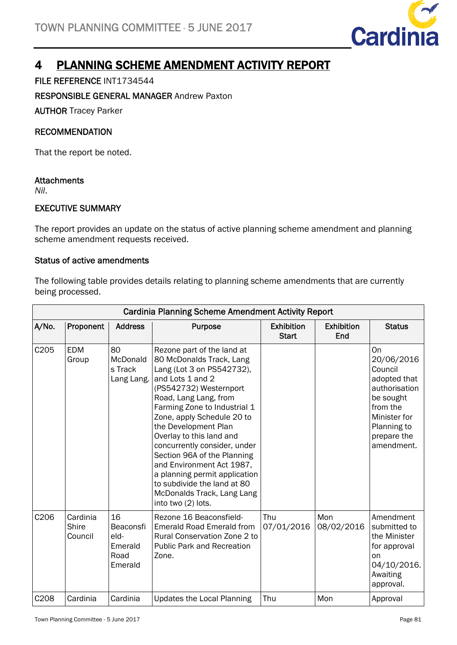

# 4 PLANNING SCHEME AMENDMENT ACTIVITY REPORT

FILE REFERENCE INT1734544

RESPONSIBLE GENERAL MANAGER Andrew Paxton

AUTHOR Tracey Parker

### RECOMMENDATION

That the report be noted.

#### **Attachments**

*Nil*.

## EXECUTIVE SUMMARY

The report provides an update on the status of active planning scheme amendment and planning scheme amendment requests received.

#### Status of active amendments

The following table provides details relating to planning scheme amendments that are currently being processed.

| <b>Cardinia Planning Scheme Amendment Activity Report</b> |                              |                                                       |                                                                                                                                                                                                                                                                                                                                                                                                                                                                                              |                                   |                          |                                                                                                                                                   |  |
|-----------------------------------------------------------|------------------------------|-------------------------------------------------------|----------------------------------------------------------------------------------------------------------------------------------------------------------------------------------------------------------------------------------------------------------------------------------------------------------------------------------------------------------------------------------------------------------------------------------------------------------------------------------------------|-----------------------------------|--------------------------|---------------------------------------------------------------------------------------------------------------------------------------------------|--|
| A/No.                                                     | Proponent                    | <b>Address</b>                                        | <b>Purpose</b>                                                                                                                                                                                                                                                                                                                                                                                                                                                                               | <b>Exhibition</b><br><b>Start</b> | <b>Exhibition</b><br>End | <b>Status</b>                                                                                                                                     |  |
| C205                                                      | <b>EDM</b><br>Group          | 80<br>McDonald<br>s Track<br>Lang Lang.               | Rezone part of the land at<br>80 McDonalds Track, Lang<br>Lang (Lot 3 on PS542732),<br>and Lots 1 and 2<br>(PS542732) Westernport<br>Road, Lang Lang, from<br>Farming Zone to Industrial 1<br>Zone, apply Schedule 20 to<br>the Development Plan<br>Overlay to this land and<br>concurrently consider, under<br>Section 96A of the Planning<br>and Environment Act 1987,<br>a planning permit application<br>to subdivide the land at 80<br>McDonalds Track, Lang Lang<br>into two (2) lots. |                                   |                          | On<br>20/06/2016<br>Council<br>adopted that<br>authorisation<br>be sought<br>from the<br>Minister for<br>Planning to<br>prepare the<br>amendment. |  |
| C206                                                      | Cardinia<br>Shire<br>Council | 16<br>Beaconsfi<br>eld-<br>Emerald<br>Road<br>Emerald | Rezone 16 Beaconsfield-<br><b>Emerald Road Emerald from</b><br><b>Rural Conservation Zone 2 to</b><br><b>Public Park and Recreation</b><br>Zone.                                                                                                                                                                                                                                                                                                                                             | Thu<br>07/01/2016                 | Mon<br>08/02/2016        | Amendment<br>submitted to<br>the Minister<br>for approval<br>on<br>04/10/2016.<br>Awaiting<br>approval.                                           |  |
| C208                                                      | Cardinia                     | Cardinia                                              | <b>Updates the Local Planning</b>                                                                                                                                                                                                                                                                                                                                                                                                                                                            | Thu                               | Mon                      | Approval                                                                                                                                          |  |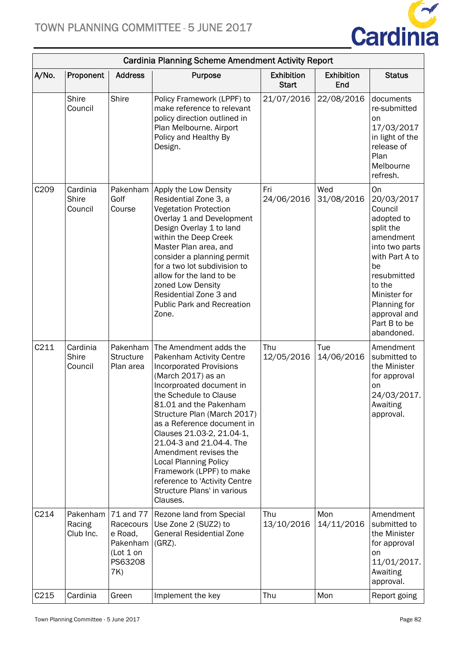

| <b>Cardinia Planning Scheme Amendment Activity Report</b> |                                     |                                                                                     |                                                                                                                                                                                                                                                                                                                                                                                                                                                                                   |                                   |                          |                                                                                                                                                                                                                      |  |
|-----------------------------------------------------------|-------------------------------------|-------------------------------------------------------------------------------------|-----------------------------------------------------------------------------------------------------------------------------------------------------------------------------------------------------------------------------------------------------------------------------------------------------------------------------------------------------------------------------------------------------------------------------------------------------------------------------------|-----------------------------------|--------------------------|----------------------------------------------------------------------------------------------------------------------------------------------------------------------------------------------------------------------|--|
| A/No.                                                     | Proponent                           | <b>Address</b>                                                                      | Purpose                                                                                                                                                                                                                                                                                                                                                                                                                                                                           | <b>Exhibition</b><br><b>Start</b> | <b>Exhibition</b><br>End | <b>Status</b>                                                                                                                                                                                                        |  |
|                                                           | <b>Shire</b><br>Council             | Shire                                                                               | Policy Framework (LPPF) to<br>make reference to relevant<br>policy direction outlined in<br>Plan Melbourne. Airport<br>Policy and Healthy By<br>Design.                                                                                                                                                                                                                                                                                                                           | 21/07/2016                        | 22/08/2016               | documents<br>re-submitted<br>on<br>17/03/2017<br>in light of the<br>release of<br>Plan<br>Melbourne<br>refresh.                                                                                                      |  |
| C <sub>209</sub>                                          | Cardinia<br><b>Shire</b><br>Council | Pakenham<br>Golf<br>Course                                                          | Apply the Low Density<br>Residential Zone 3, a<br><b>Vegetation Protection</b><br>Overlay 1 and Development<br>Design Overlay 1 to land<br>within the Deep Creek<br>Master Plan area, and<br>consider a planning permit<br>for a two lot subdivision to<br>allow for the land to be<br>zoned Low Density<br>Residential Zone 3 and<br><b>Public Park and Recreation</b><br>Zone.                                                                                                  | Fri<br>24/06/2016                 | Wed<br>31/08/2016        | On<br>20/03/2017<br>Council<br>adopted to<br>split the<br>amendment<br>into two parts<br>with Part A to<br>be<br>resubmitted<br>to the<br>Minister for<br>Planning for<br>approval and<br>Part B to be<br>abandoned. |  |
| C211                                                      | Cardinia<br>Shire<br>Council        | Pakenham  <br><b>Structure</b><br>Plan area                                         | The Amendment adds the<br>Pakenham Activity Centre<br><b>Incorporated Provisions</b><br>(March 2017) as an<br>Incorproated document in<br>the Schedule to Clause<br>81.01 and the Pakenham<br>Structure Plan (March 2017)<br>as a Reference document in<br>Clauses 21.03-2, 21.04-1,<br>21.04-3 and 21.04-4. The<br>Amendment revises the<br><b>Local Planning Policy</b><br>Framework (LPPF) to make<br>reference to 'Activity Centre<br>Structure Plans' in various<br>Clauses. | Thu<br>12/05/2016                 | Tue<br>14/06/2016        | Amendment<br>submitted to<br>the Minister<br>for approval<br>on<br>24/03/2017.<br>Awaiting<br>approval.                                                                                                              |  |
| C214                                                      | Pakenham<br>Racing<br>Club Inc.     | 71 and 77<br>Racecours<br>e Road,<br>Pakenham (GRZ).<br>(Lot 1 on<br>PS63208<br>7K) | Rezone land from Special<br>Use Zone 2 (SUZ2) to<br><b>General Residential Zone</b>                                                                                                                                                                                                                                                                                                                                                                                               | Thu<br>13/10/2016                 | Mon<br>14/11/2016        | Amendment<br>submitted to<br>the Minister<br>for approval<br>on<br>11/01/2017.<br>Awaiting<br>approval.                                                                                                              |  |
| C <sub>215</sub>                                          | Cardinia                            | Green                                                                               | Implement the key                                                                                                                                                                                                                                                                                                                                                                                                                                                                 | Thu                               | Mon                      | Report going                                                                                                                                                                                                         |  |